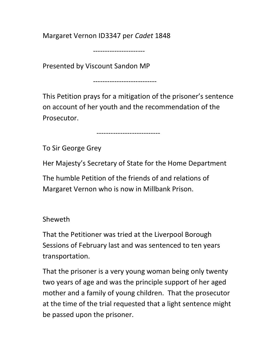Margaret Vernon ID3347 per Cadet 1848

----------------------

Presented by Viscount Sandon MP

---------------------------

This Petition prays for a mitigation of the prisoner's sentence on account of her youth and the recommendation of the Prosecutor.

---------------------------

To Sir George Grey

Her Majesty's Secretary of State for the Home Department

The humble Petition of the friends of and relations of Margaret Vernon who is now in Millbank Prison.

Sheweth

That the Petitioner was tried at the Liverpool Borough Sessions of February last and was sentenced to ten years transportation.

That the prisoner is a very young woman being only twenty two years of age and was the principle support of her aged mother and a family of young children. That the prosecutor at the time of the trial requested that a light sentence might be passed upon the prisoner.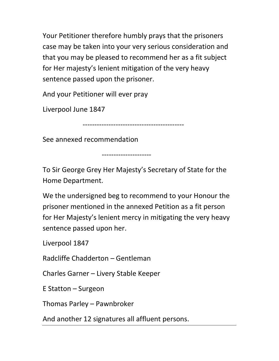Your Petitioner therefore humbly prays that the prisoners case may be taken into your very serious consideration and that you may be pleased to recommend her as a fit subject for Her majesty's lenient mitigation of the very heavy sentence passed upon the prisoner.

And your Petitioner will ever pray

Liverpool June 1847

-------------------------------------------

See annexed recommendation

---------------------

To Sir George Grey Her Majesty's Secretary of State for the Home Department.

We the undersigned beg to recommend to your Honour the prisoner mentioned in the annexed Petition as a fit person for Her Majesty's lenient mercy in mitigating the very heavy sentence passed upon her.

Liverpool 1847

Radcliffe Chadderton – Gentleman

Charles Garner – Livery Stable Keeper

E Statton – Surgeon

Thomas Parley – Pawnbroker

And another 12 signatures all affluent persons.